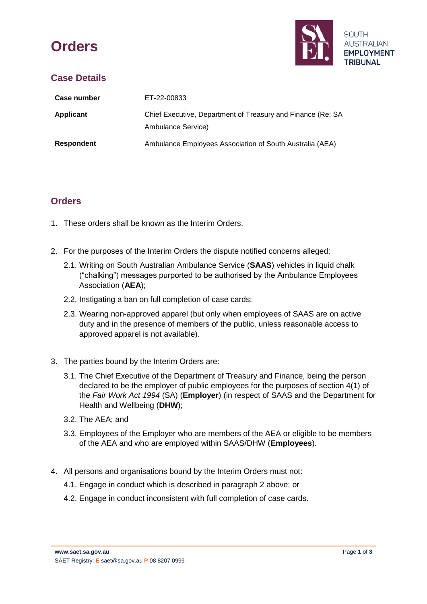# **Orders**



# **Case Details**

| Case number       | ET-22-00833                                                                       |
|-------------------|-----------------------------------------------------------------------------------|
| <b>Applicant</b>  | Chief Executive, Department of Treasury and Finance (Re: SA<br>Ambulance Service) |
| <b>Respondent</b> | Ambulance Employees Association of South Australia (AEA)                          |

## **Orders**

- 1. These orders shall be known as the Interim Orders.
- 2. For the purposes of the Interim Orders the dispute notified concerns alleged:
	- 2.1. Writing on South Australian Ambulance Service (**SAAS**) vehicles in liquid chalk ("chalking") messages purported to be authorised by the Ambulance Employees Association (**AEA**);
	- 2.2. Instigating a ban on full completion of case cards;
	- 2.3. Wearing non-approved apparel (but only when employees of SAAS are on active duty and in the presence of members of the public, unless reasonable access to approved apparel is not available).
- 3. The parties bound by the Interim Orders are:
	- 3.1. The Chief Executive of the Department of Treasury and Finance, being the person declared to be the employer of public employees for the purposes of section 4(1) of the *Fair Work Act 1994* (SA) (**Employer**) (in respect of SAAS and the Department for Health and Wellbeing (**DHW**);
	- 3.2. The AEA; and
	- 3.3. Employees of the Employer who are members of the AEA or eligible to be members of the AEA and who are employed within SAAS/DHW (**Employees**).
- 4. All persons and organisations bound by the Interim Orders must not:
	- 4.1. Engage in conduct which is described in paragraph 2 above; or
	- 4.2. Engage in conduct inconsistent with full completion of case cards.